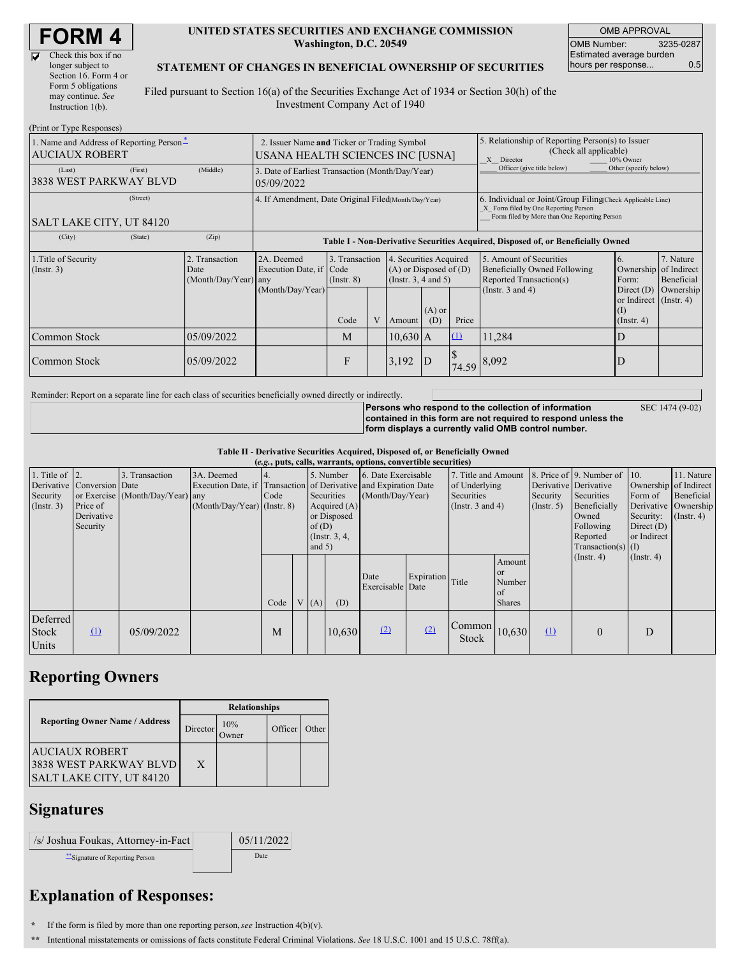$\overline{\nabla}$ 

#### **UNITED STATES SECURITIES AND EXCHANGE COMMISSION Washington, D.C. 20549**

OMB APPROVAL OMB Number: 3235-0287 Estimated average burden hours per response... 0.5

### **STATEMENT OF CHANGES IN BENEFICIAL OWNERSHIP OF SECURITIES**

Filed pursuant to Section 16(a) of the Securities Exchange Act of 1934 or Section 30(h) of the Investment Company Act of 1940

| (Print or Type Responses)                                         |                                                                                                                                                                                                              |            |                                                                                  |      |                                                                                                                            |            |                                                                                                                                                    |          |                            |                                                                  |           |
|-------------------------------------------------------------------|--------------------------------------------------------------------------------------------------------------------------------------------------------------------------------------------------------------|------------|----------------------------------------------------------------------------------|------|----------------------------------------------------------------------------------------------------------------------------|------------|----------------------------------------------------------------------------------------------------------------------------------------------------|----------|----------------------------|------------------------------------------------------------------|-----------|
| 1. Name and Address of Reporting Person-<br><b>AUCIAUX ROBERT</b> | 2. Issuer Name and Ticker or Trading Symbol<br>USANA HEALTH SCIENCES INC [USNA]                                                                                                                              |            |                                                                                  |      |                                                                                                                            |            | 5. Relationship of Reporting Person(s) to Issuer<br>(Check all applicable)<br>X Director<br>10% Owner                                              |          |                            |                                                                  |           |
| (Last)<br>3838 WEST PARKWAY BLVD                                  | (First)                                                                                                                                                                                                      | (Middle)   | 3. Date of Earliest Transaction (Month/Day/Year)<br>05/09/2022                   |      |                                                                                                                            |            |                                                                                                                                                    |          | Officer (give title below) | Other (specify below)                                            |           |
| SALT LAKE CITY, UT 84120                                          | 4. If Amendment, Date Original Filed(Month/Day/Year)                                                                                                                                                         |            |                                                                                  |      |                                                                                                                            |            | 6. Individual or Joint/Group Filing(Check Applicable Line)<br>X Form filed by One Reporting Person<br>Form filed by More than One Reporting Person |          |                            |                                                                  |           |
| (City)                                                            | (State)                                                                                                                                                                                                      | (Zip)      | Table I - Non-Derivative Securities Acquired, Disposed of, or Beneficially Owned |      |                                                                                                                            |            |                                                                                                                                                    |          |                            |                                                                  |           |
| 1. Title of Security<br>$($ Instr. 3 $)$                          | 2. Transaction<br>3. Transaction<br>4. Securities Acquired<br>2A. Deemed<br>$(A)$ or Disposed of $(D)$<br>Execution Date, if Code<br>Date<br>(Insert. 3, 4 and 5)<br>(Month/Day/Year) any<br>$($ Instr. $8)$ |            |                                                                                  |      | 5. Amount of Securities<br>6.<br>Ownership of Indirect<br>Beneficially Owned Following<br>Reported Transaction(s)<br>Form: |            | 7. Nature<br>Beneficial                                                                                                                            |          |                            |                                                                  |           |
|                                                                   |                                                                                                                                                                                                              |            | (Month/Day/Year)                                                                 | Code | V                                                                                                                          | Amount     | $(A)$ or<br>(D)                                                                                                                                    | Price    | (Instr. $3$ and $4$ )      | Direct $(D)$<br>or Indirect $($ Instr. 4 $)$<br>$($ Instr. 4 $)$ | Ownership |
| Common Stock                                                      |                                                                                                                                                                                                              | 05/09/2022 |                                                                                  | M    |                                                                                                                            | $10,630$ A |                                                                                                                                                    | $\Omega$ | 11,284                     |                                                                  |           |
| Common Stock                                                      |                                                                                                                                                                                                              | 05/09/2022 |                                                                                  | F    |                                                                                                                            | 3,192      | D                                                                                                                                                  | 74.59    | 8,092                      |                                                                  |           |

Reminder: Report on a separate line for each class of securities beneficially owned directly or indirectly.

**Persons who respond to the collection of information contained in this form are not required to respond unless the**

SEC 1474 (9-02)

**form displays a currently valid OMB control number.**

**Table II - Derivative Securities Acquired, Disposed of, or Beneficially Owned**

| (e.g., puts, calls, warrants, options, convertible securities) |                                                                  |                                                    |                                             |             |  |                                                                                                  |        |                                                                                                             |                  |                                                                              |                                                      |                           |                                                                                                                                               |                                                     |                                                                                            |
|----------------------------------------------------------------|------------------------------------------------------------------|----------------------------------------------------|---------------------------------------------|-------------|--|--------------------------------------------------------------------------------------------------|--------|-------------------------------------------------------------------------------------------------------------|------------------|------------------------------------------------------------------------------|------------------------------------------------------|---------------------------|-----------------------------------------------------------------------------------------------------------------------------------------------|-----------------------------------------------------|--------------------------------------------------------------------------------------------|
| 1. Title of $\vert$ 2.<br>Security<br>$($ Instr. 3 $)$         | Derivative Conversion Date<br>Price of<br>Derivative<br>Security | 3. Transaction<br>or Exercise (Month/Day/Year) any | 3A. Deemed<br>$(Month/Day/Year)$ (Instr. 8) | 14.<br>Code |  | 5. Number<br>Securities<br>Acquired $(A)$<br>or Disposed<br>of(D)<br>(Instr. $3, 4,$<br>and $5)$ |        | 6. Date Exercisable<br>Execution Date, if Transaction of Derivative and Expiration Date<br>(Month/Day/Year) |                  | 7. Title and Amount<br>of Underlying<br>Securities<br>(Instr. $3$ and $4$ )  |                                                      | Security<br>$($ Instr. 5) | 8. Price of 9. Number of 10.<br>Derivative Derivative<br>Securities<br>Beneficially<br>Owned<br>Following<br>Reported<br>$Transaction(s)$ (I) | Form of<br>Security:<br>Direct $(D)$<br>or Indirect | 11. Nature<br>Ownership of Indirect<br>Beneficial<br>Derivative Ownership<br>$($ Instr. 4) |
|                                                                |                                                                  |                                                    |                                             | Code        |  | V(A)                                                                                             | (D)    | Date<br>Exercisable Date                                                                                    | Expiration Title |                                                                              | Amount<br><b>or</b><br>Number<br>of<br><b>Shares</b> |                           | $($ Instr. 4 $)$                                                                                                                              | $($ Instr. 4 $)$                                    |                                                                                            |
| Deferred<br><b>Stock</b><br>Units                              | $\Omega$                                                         | 05/09/2022                                         |                                             | M           |  |                                                                                                  | 10,630 | (2)                                                                                                         | (2)              | $\begin{array}{ c c }\n\hline\n\text{Common} & 10,630\n\end{array}$<br>Stock |                                                      | $\Omega$                  | $\theta$                                                                                                                                      | D                                                   |                                                                                            |

## **Reporting Owners**

|                                                                             | <b>Relationships</b> |     |         |       |  |  |  |
|-----------------------------------------------------------------------------|----------------------|-----|---------|-------|--|--|--|
| <b>Reporting Owner Name / Address</b>                                       | Director             | 10% | Officer | Other |  |  |  |
| <b>AUCIAUX ROBERT</b><br>3838 WEST PARKWAY BLVD<br>SALT LAKE CITY, UT 84120 | X                    |     |         |       |  |  |  |

## **Signatures**

| /s/ Joshua Foukas, Attorney-in-Fact | 05/11/2022 |
|-------------------------------------|------------|
| "Signature of Reporting Person      | Date       |

# **Explanation of Responses:**

- **\*** If the form is filed by more than one reporting person,*see* Instruction 4(b)(v).
- **\*\*** Intentional misstatements or omissions of facts constitute Federal Criminal Violations. *See* 18 U.S.C. 1001 and 15 U.S.C. 78ff(a).